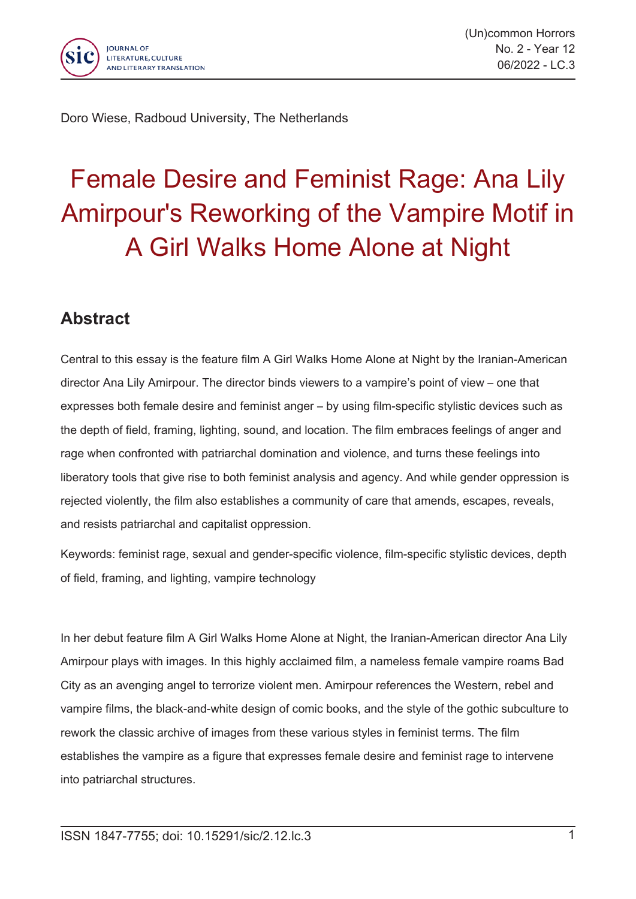

Doro Wiese, Radboud University, The Netherlands

## Female Desire and Feminist Rage: Ana Lily Amirpour's Reworking of the Vampire Motif in A Girl Walks Home Alone at Night

## **Abstract**

Central to this essay is the feature film A Girl Walks Home Alone at Night by the Iranian-American director Ana Lily Amirpour. The director binds viewers to <sup>a</sup> vampire's point of view – one that expresses both female desire and feminist anger – by using film-specific stylistic devices such as the depth of field, framing, lighting, sound, and location. The film embraces feelings of anger and rage when confronted with patriarchal domination and violence, and turns these feelings into liberatory tools that give rise to both feminist analysis and agency. And while gender oppression is rejected violently, the film also establishes <sup>a</sup> community of care that amends, escapes, reveals, and resists patriarchal and capitalist oppression.

Keywords: feminist rage, sexual and gender-specific violence, film-specific stylistic devices, depth of field, framing, and lighting, vampire technology

In her debut feature film A Girl Walks Home Alone at Night, the Iranian-American director Ana Lily Amirpour plays with images. In this highly acclaimed film, <sup>a</sup> nameless female vampire roams Bad City as an avenging angel to terrorize violent men. Amirpour references the Western, rebel and vampire films, the black-and-white design of comic books, and the style of the gothic subculture to rework the classic archive of images from these various styles in feminist terms. The film establishes the vampire as <sup>a</sup> figure that expresses female desire and feminist rage to intervene into patriarchal structures.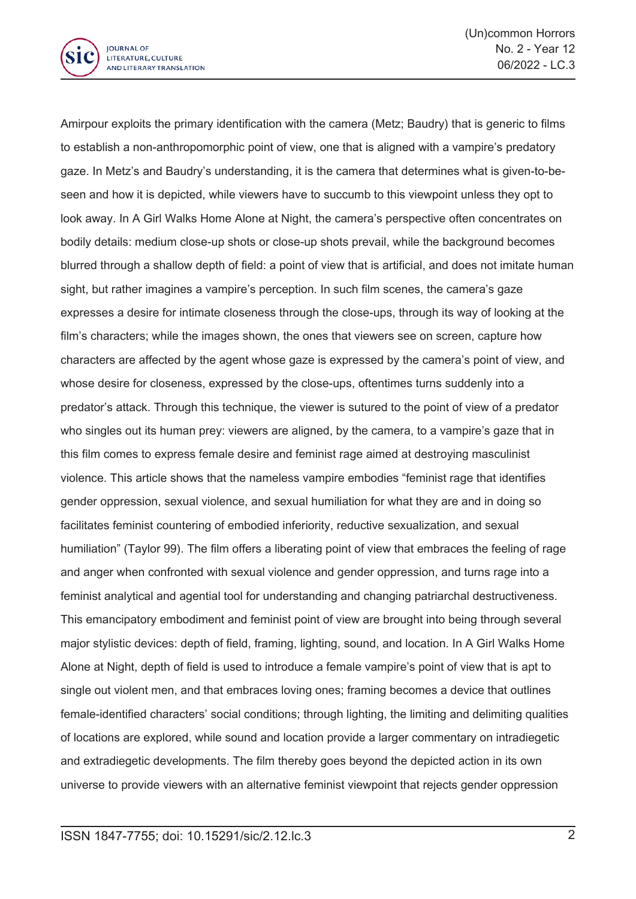

Amirpour exploits the primary identification with the camera (Metz; Baudry) that is generic to films to establish <sup>a</sup> non-anthropomorphic point of view, one that is aligned with <sup>a</sup> vampire's predatory gaze. In Metz's and Baudry's understanding, it is the camera that determines what is given-to-beseen and how it is depicted, while viewers have to succumb to this viewpoint unless they opt to look away. In A Girl Walks Home Alone at Night, the camera's perspective often concentrates on bodily details: medium close-up shots or close-up shots prevail, while the background becomes blurred through <sup>a</sup> shallow depth of field: <sup>a</sup> point of view that is artificial, and does not imitate human sight, but rather imagines <sup>a</sup> vampire's perception. In such film scenes, the camera's gaze expresses <sup>a</sup> desire for intimate closeness through the close-ups, through its way of looking at the film's characters; while the images shown, the ones that viewers see on screen, capture how characters are affected by the agent whose gaze is expressed by the camera's point of view, and whose desire for closeness, expressed by the close-ups, oftentimes turns suddenly into <sup>a</sup> predator's attack. Through this technique, the viewer is sutured to the point of view of <sup>a</sup> predator who singles out its human prey: viewers are aligned, by the camera, to <sup>a</sup> vampire's gaze that in this film comes to express female desire and feminist rage aimed at destroying masculinist violence. This article shows that the nameless vampire embodies "feminist rage that identifies gender oppression, sexual violence, and sexual humiliation for what they are and in doing so facilitates feminist countering of embodied inferiority, reductive sexualization, and sexual humiliation" (Taylor 99). The film offers <sup>a</sup> liberating point of view that embraces the feeling of rage and anger when confronted with sexual violence and gender oppression, and turns rage into <sup>a</sup> feminist analytical and agential tool for understanding and changing patriarchal destructiveness. This emancipatory embodiment and feminist point of view are brought into being through several major stylistic devices: depth of field, framing, lighting, sound, and location. In A Girl Walks Home Alone at Night, depth of field is used to introduce <sup>a</sup> female vampire's point of view that is apt to single out violent men, and that embraces loving ones; framing becomes <sup>a</sup> device that outlines female-identified characters' social conditions; through lighting, the limiting and delimiting qualities of locations are explored, while sound and location provide <sup>a</sup> larger commentary on intradiegetic and extradiegetic developments. The film thereby goes beyond the depicted action in its own universe to provide viewers with an alternative feminist viewpoint that rejects gender oppression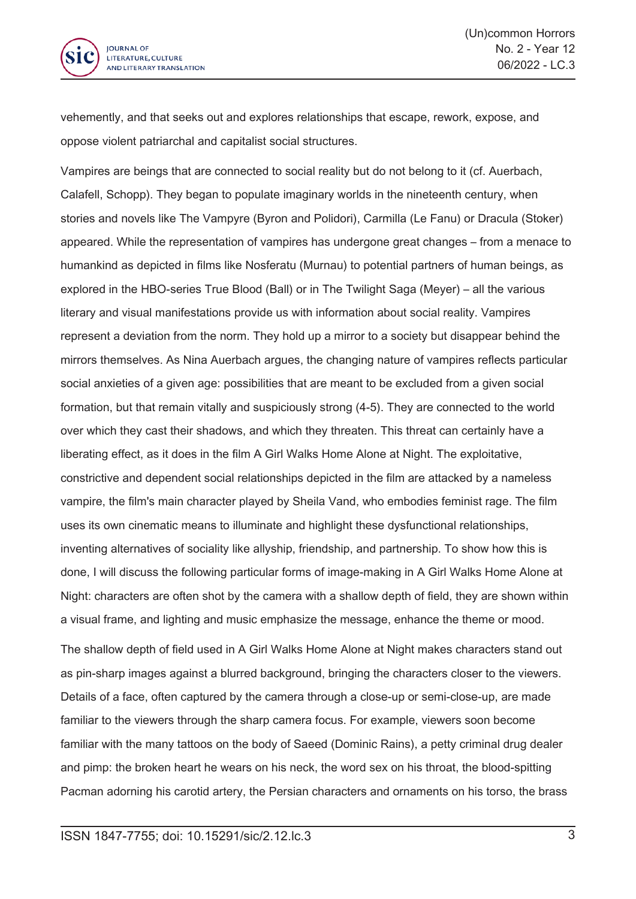

vehemently, and that seeks out and explores relationships that escape, rework, expose, and oppose violent patriarchal and capitalist social structures.

Vampires are beings that are connected to social reality but do not belong to it (cf. Auerbach, Calafell, Schopp). They began to populate imaginary worlds in the nineteenth century, when stories and novels like The Vampyre (Byron and Polidori), Carmilla (Le Fanu) or Dracula (Stoker) appeared. While the representation of vampires has undergone great changes – from <sup>a</sup> menace to humankind as depicted in films like Nosferatu (Murnau) to potential partners of human beings, as explored in the HBO-series True Blood (Ball) or in The Twilight Saga (Meyer) – all the various literary and visual manifestations provide us with information about social reality. Vampires represent <sup>a</sup> deviation from the norm. They hold up <sup>a</sup> mirror to <sup>a</sup> society but disappear behind the mirrors themselves. As Nina Auerbach argues, the changing nature of vampires reflects particular social anxieties of <sup>a</sup> given age: possibilities that are meant to be excluded from <sup>a</sup> given social formation, but that remain vitally and suspiciously strong (4-5). They are connected to the world over which they cast their shadows, and which they threaten. This threat can certainly have <sup>a</sup> liberating effect, as it does in the film A Girl Walks Home Alone at Night. The exploitative, constrictive and dependent social relationships depicted in the film are attacked by <sup>a</sup> nameless vampire, the film's main character played by Sheila Vand, who embodies feminist rage. The film uses its own cinematic means to illuminate and highlight these dysfunctional relationships, inventing alternatives of sociality like allyship, friendship, and partnership. To show how this is done, I will discuss the following particular forms of image-making in A Girl Walks Home Alone at Night: characters are often shot by the camera with <sup>a</sup> shallow depth of field, they are shown within <sup>a</sup> visual frame, and lighting and music emphasize the message, enhance the theme or mood.

The shallow depth of field used in A Girl Walks Home Alone at Night makes characters stand out as pin-sharp images against <sup>a</sup> blurred background, bringing the characters closer to the viewers. Details of <sup>a</sup> face, often captured by the camera through <sup>a</sup> close-up or semi-close-up, are made familiar to the viewers through the sharp camera focus. For example, viewers soon become familiar with the many tattoos on the body of Saeed (Dominic Rains), <sup>a</sup> petty criminal drug dealer and pimp: the broken heart he wears on his neck, the word sex on his throat, the blood-spitting Pacman adorning his carotid artery, the Persian characters and ornaments on his torso, the brass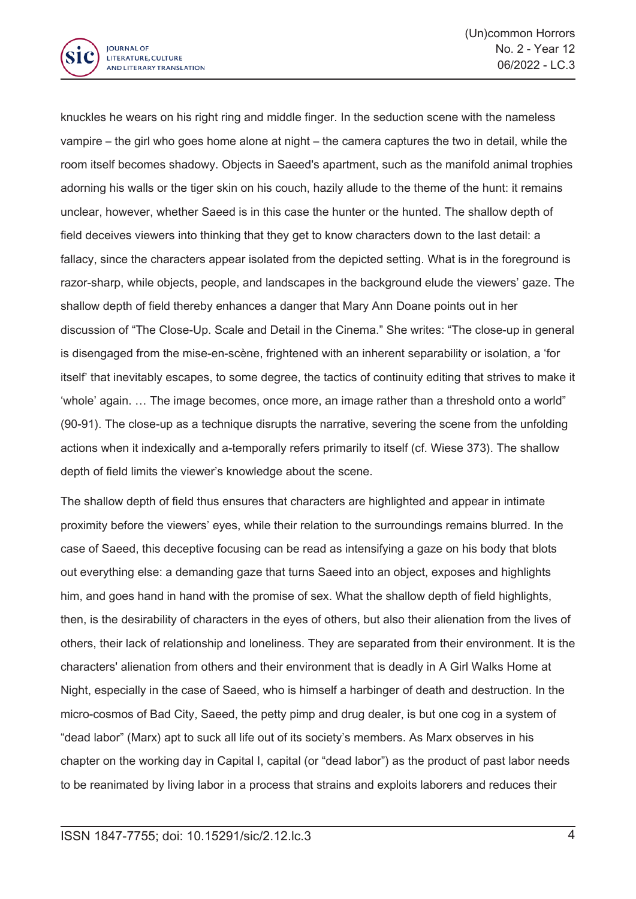

knuckles he wears on his right ring and middle finger. In the seduction scene with the nameless vampire – the girl who goes home alone at night – the camera captures the two in detail, while the room itself becomes shadowy. Objects in Saeed's apartment, such as the manifold animal trophies adorning his walls or the tiger skin on his couch, hazily allude to the theme of the hunt: it remains unclear, however, whether Saeed is in this case the hunter or the hunted. The shallow depth of field deceives viewers into thinking that they get to know characters down to the last detail: <sup>a</sup> fallacy, since the characters appear isolated from the depicted setting. What is in the foreground is razor-sharp, while objects, people, and landscapes in the background elude the viewers' gaze. The shallow depth of field thereby enhances <sup>a</sup> danger that Mary Ann Doane points out in her discussion of "The Close-Up. Scale and Detail in the Cinema." She writes: "The close-up in general is disengaged from the mise-en-scène, frightened with an inherent separability or isolation, <sup>a</sup> 'for itself' that inevitably escapes, to some degree, the tactics of continuity editing that strives to make it 'whole' again. … The image becomes, once more, an image rather than <sup>a</sup> threshold onto <sup>a</sup> world" (90-91). The close-up as <sup>a</sup> technique disrupts the narrative, severing the scene from the unfolding actions when it indexically and a-temporally refers primarily to itself (cf. Wiese 373). The shallow depth of field limits the viewer's knowledge about the scene.

The shallow depth of field thus ensures that characters are highlighted and appear in intimate proximity before the viewers' eyes, while their relation to the surroundings remains blurred. In the case of Saeed, this deceptive focusing can be read as intensifying <sup>a</sup> gaze on his body that blots out everything else: <sup>a</sup> demanding gaze that turns Saeed into an object, exposes and highlights him, and goes hand in hand with the promise of sex. What the shallow depth of field highlights, then, is the desirability of characters in the eyes of others, but also their alienation from the lives of others, their lack of relationship and loneliness. They are separated from their environment. It is the characters' alienation from others and their environment that is deadly in A Girl Walks Home at Night, especially in the case of Saeed, who is himself <sup>a</sup> harbinger of death and destruction. In the micro-cosmos of Bad City, Saeed, the petty pimp and drug dealer, is but one cog in <sup>a</sup> system of "dead labor" (Marx) apt to suck all life out of its society's members. As Marx observes in his chapter on the working day in Capital I, capital (or "dead labor") as the product of past labor needs to be reanimated by living labor in <sup>a</sup> process that strains and exploits laborers and reduces their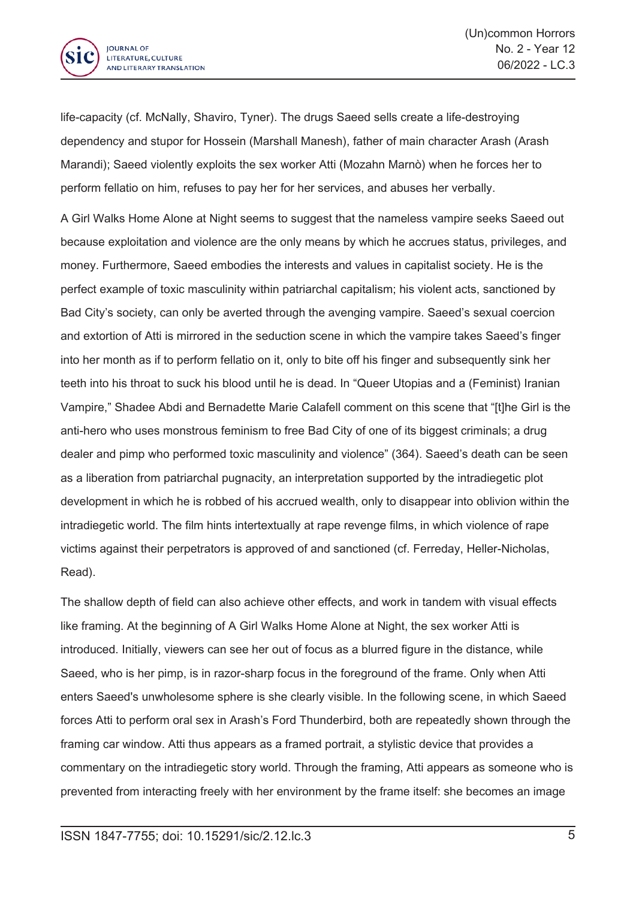

life-capacity (cf. McNally, Shaviro, Tyner). The drugs Saeed sells create <sup>a</sup> life-destroying dependency and stupor for Hossein (Marshall Manesh), father of main character Arash (Arash Marandi); Saeed violently exploits the sex worker Atti (Mozahn Marnò) when he forces her to perform fellatio on him, refuses to pay her for her services, and abuses her verbally.

A Girl Walks Home Alone at Night seems to suggest that the nameless vampire seeks Saeed out because exploitation and violence are the only means by which he accrues status, privileges, and money. Furthermore, Saeed embodies the interests and values in capitalist society. He is the perfect example of toxic masculinity within patriarchal capitalism; his violent acts, sanctioned by Bad City's society, can only be averted through the avenging vampire. Saeed's sexual coercion and extortion of Atti is mirrored in the seduction scene in which the vampire takes Saeed's finger into her month as if to perform fellatio on it, only to bite off his finger and subsequently sink her teeth into his throat to suck his blood until he is dead. In "Queer Utopias and <sup>a</sup> (Feminist) Iranian Vampire," Shadee Abdi and Bernadette Marie Calafell comment on this scene that "[t]he Girl is the anti-hero who uses monstrous feminism to free Bad City of one of its biggest criminals; <sup>a</sup> drug dealer and pimp who performed toxic masculinity and violence" (364). Saeed's death can be seen as <sup>a</sup> liberation from patriarchal pugnacity, an interpretation supported by the intradiegetic plot development in which he is robbed of his accrued wealth, only to disappear into oblivion within the intradiegetic world. The film hints intertextually at rape revenge films, in which violence of rape victims against their perpetrators is approved of and sanctioned (cf. Ferreday, Heller-Nicholas, Read).

The shallow depth of field can also achieve other effects, and work in tandem with visual effects like framing. At the beginning of A Girl Walks Home Alone at Night, the sex worker Atti is introduced. Initially, viewers can see her out of focus as <sup>a</sup> blurred figure in the distance, while Saeed, who is her pimp, is in razor-sharp focus in the foreground of the frame. Only when Atti enters Saeed's unwholesome sphere is she clearly visible. In the following scene, in which Saeed forces Atti to perform oral sex in Arash's Ford Thunderbird, both are repeatedly shown through the framing car window. Atti thus appears as <sup>a</sup> framed portrait, <sup>a</sup> stylistic device that provides <sup>a</sup> commentary on the intradiegetic story world. Through the framing, Atti appears as someone who is prevented from interacting freely with her environment by the frame itself: she becomes an image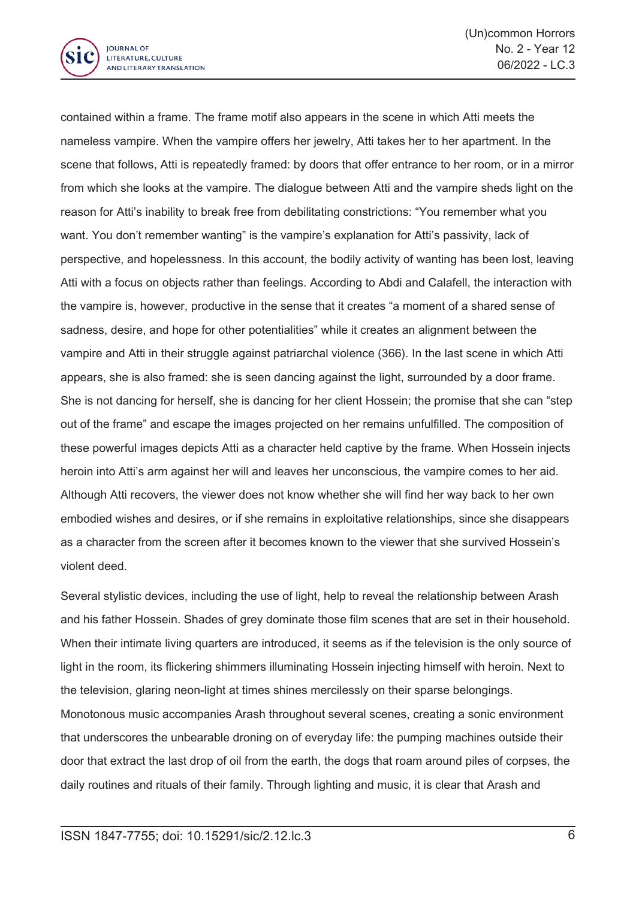

contained within <sup>a</sup> frame. The frame motif also appears in the scene in which Atti meets the nameless vampire. When the vampire offers her jewelry, Atti takes her to her apartment. In the scene that follows, Atti is repeatedly framed: by doors that offer entrance to her room, or in <sup>a</sup> mirror from which she looks at the vampire. The dialogue between Atti and the vampire sheds light on the reason for Atti's inability to break free from debilitating constrictions: "You remember what you want. You don't remember wanting" is the vampire's explanation for Atti's passivity, lack of perspective, and hopelessness. In this account, the bodily activity of wanting has been lost, leaving Atti with <sup>a</sup> focus on objects rather than feelings. According to Abdi and Calafell, the interaction with the vampire is, however, productive in the sense that it creates "a moment of <sup>a</sup> shared sense of sadness, desire, and hope for other potentialities" while it creates an alignment between the vampire and Atti in their struggle against patriarchal violence (366). In the last scene in which Atti appears, she is also framed: she is seen dancing against the light, surrounded by <sup>a</sup> door frame. She is not dancing for herself, she is dancing for her client Hossein; the promise that she can "step out of the frame" and escape the images projected on her remains unfulfilled. The composition of these powerful images depicts Atti as <sup>a</sup> character held captive by the frame. When Hossein injects heroin into Atti's arm against her will and leaves her unconscious, the vampire comes to her aid. Although Atti recovers, the viewer does not know whether she will find her way back to her own embodied wishes and desires, or if she remains in exploitative relationships, since she disappears as a character from the screen after it becomes known to the viewer that she survived Hossein's violent deed.

Several stylistic devices, including the use of light, help to reveal the relationship between Arash and his father Hossein. Shades of grey dominate those film scenes that are set in their household. When their intimate living quarters are introduced, it seems as if the television is the only source of light in the room, its flickering shimmers illuminating Hossein injecting himself with heroin. Next to the television, glaring neon-light at times shines mercilessly on their sparse belongings. Monotonous music accompanies Arash throughout several scenes, creating <sup>a</sup> sonic environment that underscores the unbearable droning on of everyday life: the pumping machines outside their door that extract the last drop of oil from the earth, the dogs that roam around piles of corpses, the daily routines and rituals of their family. Through lighting and music, it is clear that Arash and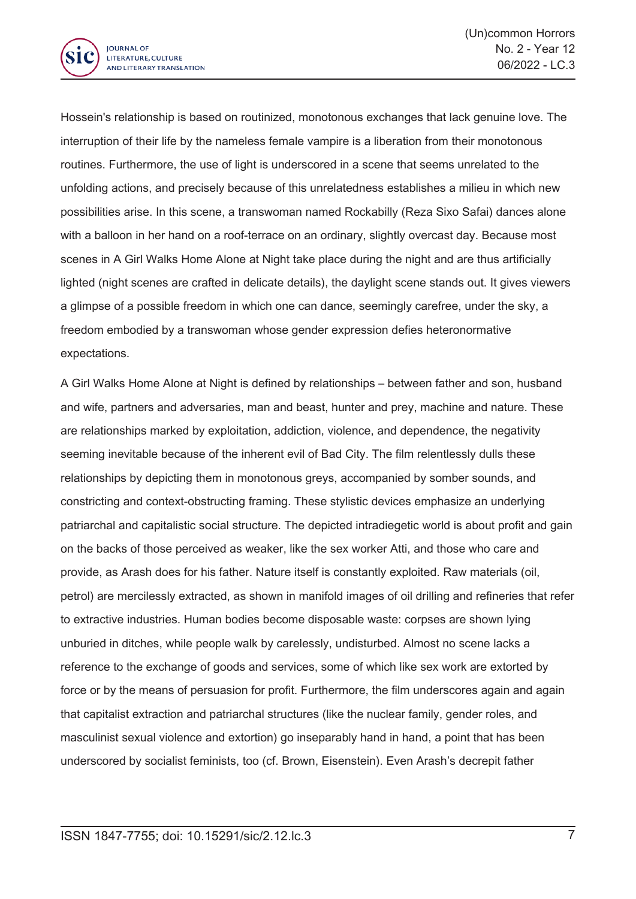

Hossein's relationship is based on routinized, monotonous exchanges that lack genuine love. The interruption of their life by the nameless female vampire is <sup>a</sup> liberation from their monotonous routines. Furthermore, the use of light is underscored in <sup>a</sup> scene that seems unrelated to the unfolding actions, and precisely because of this unrelatedness establishes <sup>a</sup> milieu in which new possibilities arise. In this scene, <sup>a</sup> transwoman named Rockabilly (Reza Sixo Safai) dances alone with <sup>a</sup> balloon in her hand on <sup>a</sup> roof-terrace on an ordinary, slightly overcast day. Because most scenes in A Girl Walks Home Alone at Night take place during the night and are thus artificially lighted (night scenes are crafted in delicate details), the daylight scene stands out. It gives viewers <sup>a</sup> glimpse of <sup>a</sup> possible freedom in which one can dance, seemingly carefree, under the sky, <sup>a</sup> freedom embodied by <sup>a</sup> transwoman whose gender expression defies heteronormative expectations.

A Girl Walks Home Alone at Night is defined by relationships – between father and son, husband and wife, partners and adversaries, man and beast, hunter and prey, machine and nature. These are relationships marked by exploitation, addiction, violence, and dependence, the negativity seeming inevitable because of the inherent evil of Bad City. The film relentlessly dulls these relationships by depicting them in monotonous greys, accompanied by somber sounds, and constricting and context-obstructing framing. These stylistic devices emphasize an underlying patriarchal and capitalistic social structure. The depicted intradiegetic world is about profit and gain on the backs of those perceived as weaker, like the sex worker Atti, and those who care and provide, as Arash does for his father. Nature itself is constantly exploited. Raw materials (oil, petrol) are mercilessly extracted, as shown in manifold images of oil drilling and refineries that refer to extractive industries. Human bodies become disposable waste: corpses are shown lying unburied in ditches, while people walk by carelessly, undisturbed. Almost no scene lacks <sup>a</sup> reference to the exchange of goods and services, some of which like sex work are extorted by force or by the means of persuasion for profit. Furthermore, the film underscores again and again that capitalist extraction and patriarchal structures (like the nuclear family, gender roles, and masculinist sexual violence and extortion) go inseparably hand in hand, <sup>a</sup> point that has been underscored by socialist feminists, too (cf. Brown, Eisenstein). Even Arash's decrepit father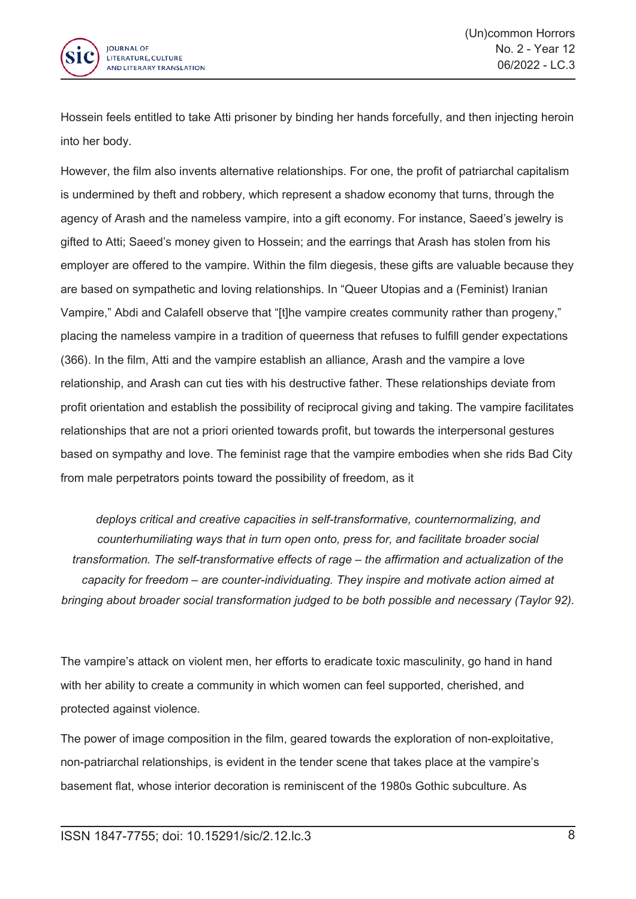

Hossein feels entitled to take Atti prisoner by binding her hands forcefully, and then injecting heroin into her body.

However, the film also invents alternative relationships. For one, the profit of patriarchal capitalism is undermined by theft and robbery, which represent <sup>a</sup> shadow economy that turns, through the agency of Arash and the nameless vampire, into <sup>a</sup> gift economy. For instance, Saeed's jewelry is gifted to Atti; Saeed's money given to Hossein; and the earrings that Arash has stolen from his employer are offered to the vampire. Within the film diegesis, these gifts are valuable because they are based on sympathetic and loving relationships. In "Queer Utopias and <sup>a</sup> (Feminist) Iranian Vampire," Abdi and Calafell observe that "[t]he vampire creates community rather than progeny," placing the nameless vampire in <sup>a</sup> tradition of queerness that refuses to fulfill gender expectations (366). In the film, Atti and the vampire establish an alliance, Arash and the vampire <sup>a</sup> love relationship, and Arash can cut ties with his destructive father. These relationships deviate from profit orientation and establish the possibility of reciprocal giving and taking. The vampire facilitates relationships that are not <sup>a</sup> priori oriented towards profit, but towards the interpersonal gestures based on sympathy and love. The feminist rage that the vampire embodies when she rids Bad City from male perpetrators points toward the possibility of freedom, as it

*deploys critical and creative capacities in self-transformative, counternormalizing, and counterhumiliating ways that in turn open onto, press for, and facilitate broader social transformation. The self-transformative effects of rage – the affirmation and actualization of the capacity for freedom – are counter-individuating. They inspire and motivate action aimed at bringing about broader social transformation judged to be both possible and necessary (Taylor 92).*

The vampire's attack on violent men, her efforts to eradicate toxic masculinity, go hand in hand with her ability to create <sup>a</sup> community in which women can feel supported, cherished, and protected against violence.

The power of image composition in the film, geared towards the exploration of non-exploitative, non-patriarchal relationships, is evident in the tender scene that takes place at the vampire's basement flat, whose interior decoration is reminiscent of the 1980s Gothic subculture. As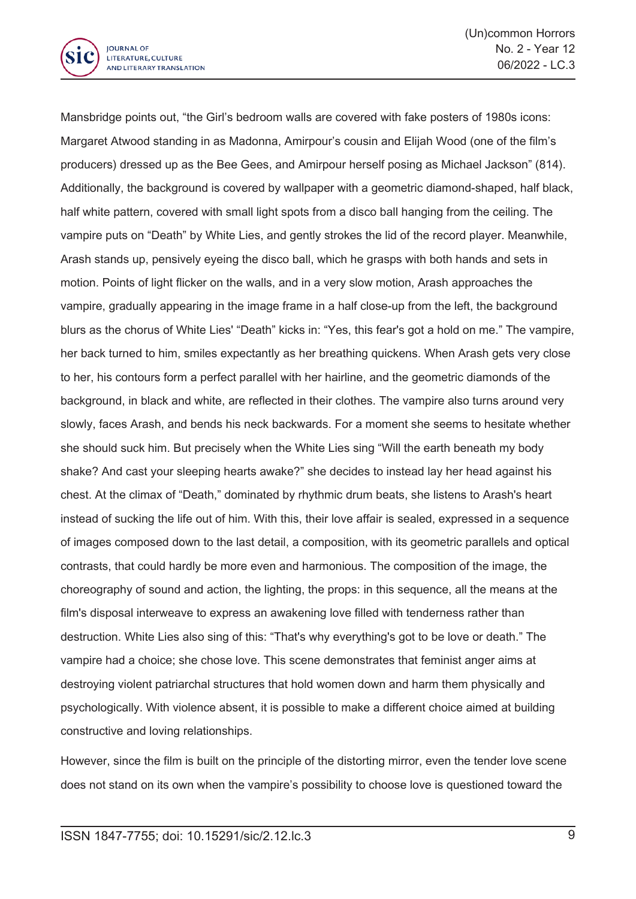

Mansbridge points out, "the Girl's bedroom walls are covered with fake posters of 1980s icons: Margaret Atwood standing in as Madonna, Amirpour's cousin and Elijah Wood (one of the film's producers) dressed up as the Bee Gees, and Amirpour herself posing as Michael Jackson" (814). Additionally, the background is covered by wallpaper with <sup>a</sup> geometric diamond-shaped, half black, half white pattern, covered with small light spots from <sup>a</sup> disco ball hanging from the ceiling. The vampire puts on "Death" by White Lies, and gently strokes the lid of the record player. Meanwhile, Arash stands up, pensively eyeing the disco ball, which he grasps with both hands and sets in motion. Points of light flicker on the walls, and in <sup>a</sup> very slow motion, Arash approaches the vampire, gradually appearing in the image frame in <sup>a</sup> half close-up from the left, the background blurs as the chorus of White Lies' "Death" kicks in: "Yes, this fear's got <sup>a</sup> hold on me." The vampire, her back turned to him, smiles expectantly as her breathing quickens. When Arash gets very close to her, his contours form <sup>a</sup> perfect parallel with her hairline, and the geometric diamonds of the background, in black and white, are reflected in their clothes. The vampire also turns around very slowly, faces Arash, and bends his neck backwards. For <sup>a</sup> moment she seems to hesitate whether she should suck him. But precisely when the White Lies sing "Will the earth beneath my body shake? And cast your sleeping hearts awake?" she decides to instead lay her head against his chest. At the climax of "Death," dominated by rhythmic drum beats, she listens to Arash's heart instead of sucking the life out of him. With this, their love affair is sealed, expressed in <sup>a</sup> sequence of images composed down to the last detail, <sup>a</sup> composition, with its geometric parallels and optical contrasts, that could hardly be more even and harmonious. The composition of the image, the choreography of sound and action, the lighting, the props: in this sequence, all the means at the film's disposal interweave to express an awakening love filled with tenderness rather than destruction. White Lies also sing of this: "That's why everything's got to be love or death." The vampire had <sup>a</sup> choice; she chose love. This scene demonstrates that feminist anger aims at destroying violent patriarchal structures that hold women down and harm them physically and psychologically. With violence absent, it is possible to make <sup>a</sup> different choice aimed at building constructive and loving relationships.

However, since the film is built on the principle of the distorting mirror, even the tender love scene does not stand on its own when the vampire's possibility to choose love is questioned toward the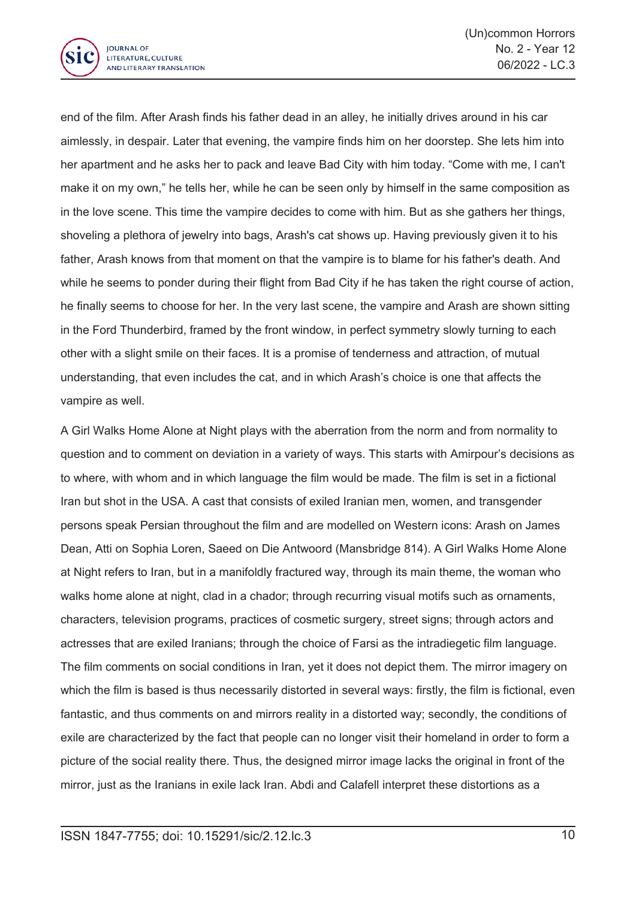

end of the film. After Arash finds his father dead in an alley, he initially drives around in his car aimlessly, in despair. Later that evening, the vampire finds him on her doorstep. She lets him into her apartment and he asks her to pack and leave Bad City with him today. "Come with me, I can't make it on my own," he tells her, while he can be seen only by himself in the same composition as in the love scene. This time the vampire decides to come with him. But as she gathers her things, shoveling <sup>a</sup> plethora of jewelry into bags, Arash's cat shows up. Having previously given it to his father, Arash knows from that moment on that the vampire is to blame for his father's death. And while he seems to ponder during their flight from Bad City if he has taken the right course of action, he finally seems to choose for her. In the very last scene, the vampire and Arash are shown sitting in the Ford Thunderbird, framed by the front window, in perfect symmetry slowly turning to each other with <sup>a</sup> slight smile on their faces. It is <sup>a</sup> promise of tenderness and attraction, of mutual understanding, that even includes the cat, and in which Arash's choice is one that affects the vampire as well.

A Girl Walks Home Alone at Night plays with the aberration from the norm and from normality to question and to comment on deviation in <sup>a</sup> variety of ways. This starts with Amirpour's decisions as to where, with whom and in which language the film would be made. The film is set in <sup>a</sup> fictional Iran but shot in the USA. A cast that consists of exiled Iranian men, women, and transgender persons speak Persian throughout the film and are modelled on Western icons: Arash on James Dean, Atti on Sophia Loren, Saeed on Die Antwoord (Mansbridge 814). A Girl Walks Home Alone at Night refers to Iran, but in <sup>a</sup> manifoldly fractured way, through its main theme, the woman who walks home alone at night, clad in <sup>a</sup> chador; through recurring visual motifs such as ornaments, characters, television programs, practices of cosmetic surgery, street signs; through actors and actresses that are exiled Iranians; through the choice of Farsi as the intradiegetic film language. The film comments on social conditions in Iran, yet it does not depict them. The mirror imagery on which the film is based is thus necessarily distorted in several ways: firstly, the film is fictional, even fantastic, and thus comments on and mirrors reality in a distorted way; secondly, the conditions of exile are characterized by the fact that people can no longer visit their homeland in order to form <sup>a</sup> picture of the social reality there. Thus, the designed mirror image lacks the original in front of the mirror, just as the Iranians in exile lack Iran. Abdi and Calafell interpret these distortions as <sup>a</sup>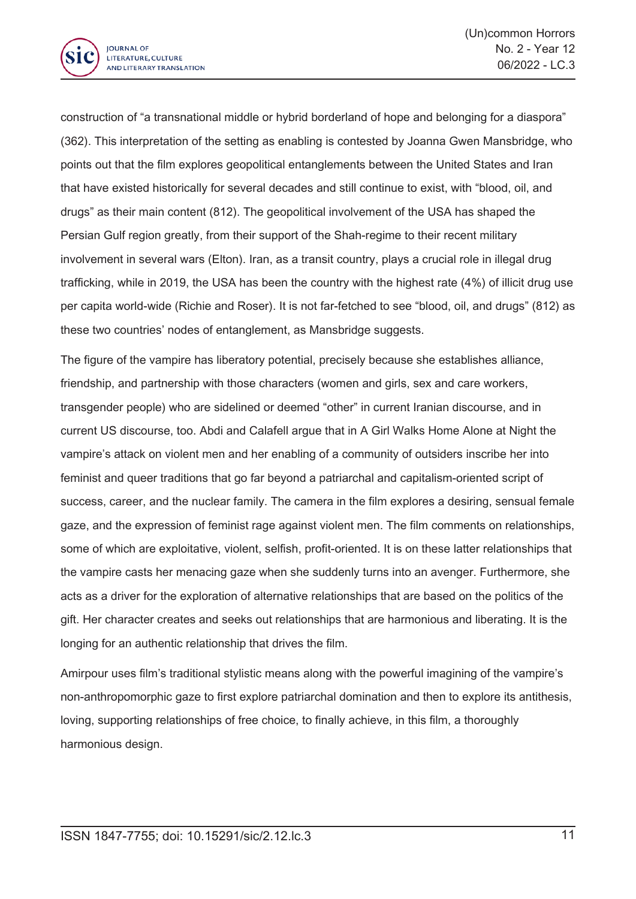

construction of "a transnational middle or hybrid borderland of hope and belonging for <sup>a</sup> diaspora" (362). This interpretation of the setting as enabling is contested by Joanna Gwen Mansbridge, who points out that the film explores geopolitical entanglements between the United States and Iran that have existed historically for several decades and still continue to exist, with "blood, oil, and drugs" as their main content (812). The geopolitical involvement of the USA has shaped the Persian Gulf region greatly, from their support of the Shah-regime to their recent military involvement in several wars (Elton). Iran, as <sup>a</sup> transit country, plays <sup>a</sup> crucial role in illegal drug trafficking, while in 2019, the USA has been the country with the highest rate (4%) of illicit drug use per capita world-wide (Richie and Roser). It is not far-fetched to see "blood, oil, and drugs" (812) as these two countries' nodes of entanglement, as Mansbridge suggests.

The figure of the vampire has liberatory potential, precisely because she establishes alliance, friendship, and partnership with those characters (women and girls, sex and care workers, transgender people) who are sidelined or deemed "other" in current Iranian discourse, and in current US discourse, too. Abdi and Calafell argue that in A Girl Walks Home Alone at Night the vampire's attack on violent men and her enabling of <sup>a</sup> community of outsiders inscribe her into feminist and queer traditions that go far beyond <sup>a</sup> patriarchal and capitalism-oriented script of success, career, and the nuclear family. The camera in the film explores <sup>a</sup> desiring, sensual female gaze, and the expression of feminist rage against violent men. The film comments on relationships, some of which are exploitative, violent, selfish, profit-oriented. It is on these latter relationships that the vampire casts her menacing gaze when she suddenly turns into an avenger. Furthermore, she acts as <sup>a</sup> driver for the exploration of alternative relationships that are based on the politics of the gift. Her character creates and seeks out relationships that are harmonious and liberating. It is the longing for an authentic relationship that drives the film.

Amirpour uses film's traditional stylistic means along with the powerful imagining of the vampire's non-anthropomorphic gaze to first explore patriarchal domination and then to explore its antithesis, loving, supporting relationships of free choice, to finally achieve, in this film, <sup>a</sup> thoroughly harmonious design.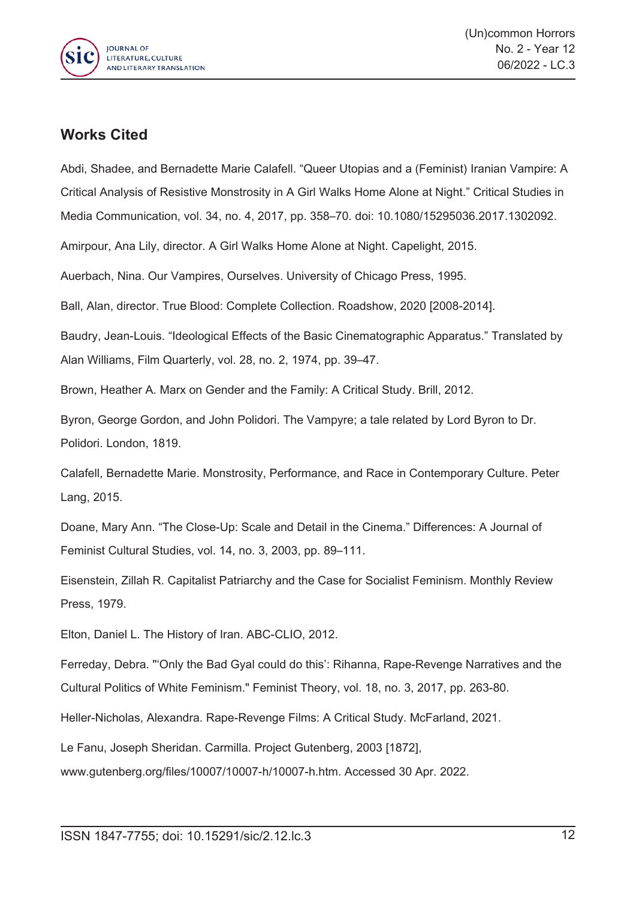

## **Works Cited**

Abdi, Shadee, and Bernadette Marie Calafell. "Queer Utopias and <sup>a</sup> (Feminist) Iranian Vampire: A Critical Analysis of Resistive Monstrosity in A Girl Walks Home Alone at Night." Critical Studies in Media Communication, vol. 34, no. 4, 2017, pp. 358–70. doi: 10.1080/15295036.2017.1302092.

Amirpour, Ana Lily, director. A Girl Walks Home Alone at Night. Capelight, 2015.

Auerbach, Nina. Our Vampires, Ourselves. University of Chicago Press, 1995.

Ball, Alan, director. True Blood: Complete Collection. Roadshow, 2020 [2008-2014].

Baudry, Jean-Louis. "Ideological Effects of the Basic Cinematographic Apparatus." Translated by Alan Williams, Film Quarterly, vol. 28, no. 2, 1974, pp. 39–47.

Brown, Heather A. Marx on Gender and the Family: A Critical Study. Brill, 2012.

Byron, George Gordon, and John Polidori. The Vampyre; <sup>a</sup> tale related by Lord Byron to Dr. Polidori. London, 1819.

Calafell, Bernadette Marie. Monstrosity, Performance, and Race in Contemporary Culture. Peter Lang, 2015.

Doane, Mary Ann. "The Close-Up: Scale and Detail in the Cinema." Differences: A Journal of Feminist Cultural Studies, vol. 14, no. 3, 2003, pp. 89–111.

Eisenstein, Zillah R. Capitalist Patriarchy and the Case for Socialist Feminism. Monthly Review Press, 1979.

Elton, Daniel L. The History of Iran. ABC-CLIO, 2012.

Ferreday, Debra. "'Only the Bad Gyal could do this': Rihanna, Rape-Revenge Narratives and the Cultural Politics of White Feminism." Feminist Theory, vol. 18, no. 3, 2017, pp. 263-80.

Heller-Nicholas, Alexandra. Rape-Revenge Films: A Critical Study. McFarland, 2021.

Le Fanu, Joseph Sheridan. Carmilla. Project Gutenberg, 2003 [1872],

www.gutenberg.org/files/10007/10007-h/10007-h.htm. Accessed 30 Apr. 2022.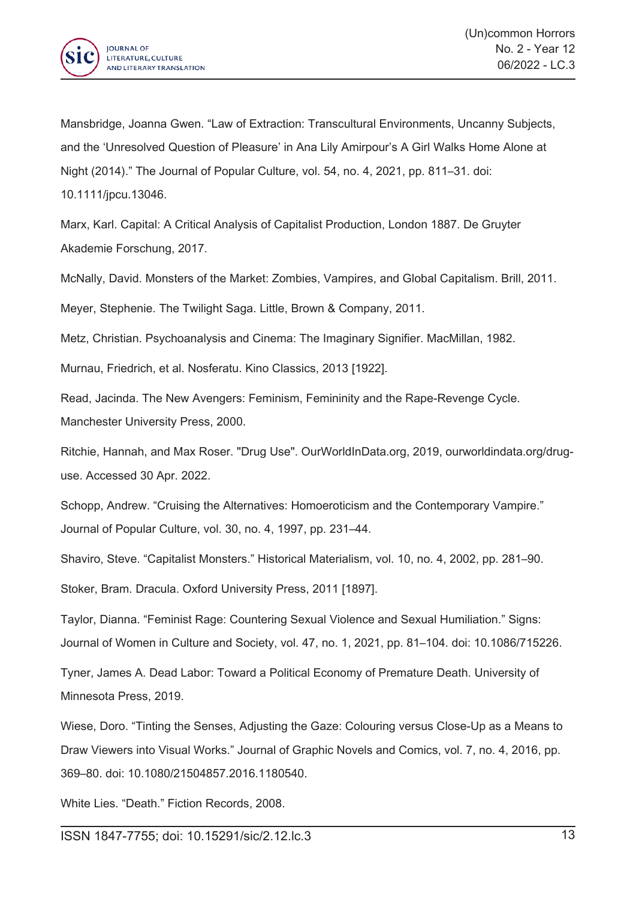

Mansbridge, Joanna Gwen. "Law of Extraction: Transcultural Environments, Uncanny Subjects, and the 'Unresolved Question of Pleasure' in Ana Lily Amirpour's A Girl Walks Home Alone at Night (2014)." The Journal of Popular Culture, vol. 54, no. 4, 2021, pp. 811–31. doi: 10.1111/jpcu.13046.

Marx, Karl. Capital: A Critical Analysis of Capitalist Production, London 1887. De Gruyter Akademie Forschung, 2017.

McNally, David. Monsters of the Market: Zombies, Vampires, and Global Capitalism. Brill, 2011.

Meyer, Stephenie. The Twilight Saga. Little, Brown & Company, 2011.

Metz, Christian. Psychoanalysis and Cinema: The Imaginary Signifier. MacMillan, 1982.

Murnau, Friedrich, et al. Nosferatu. Kino Classics, 2013 [1922].

Read, Jacinda. The New Avengers: Feminism, Femininity and the Rape-Revenge Cycle. Manchester University Press, 2000.

Ritchie, Hannah, and Max Roser. "Drug Use". OurWorldInData.org, 2019, ourworldindata.org/druguse. Accessed 30 Apr. 2022.

Schopp, Andrew. "Cruising the Alternatives: Homoeroticism and the Contemporary Vampire." Journal of Popular Culture, vol. 30, no. 4, 1997, pp. 231–44.

Shaviro, Steve. "Capitalist Monsters." Historical Materialism, vol. 10, no. 4, 2002, pp. 281–90.

Stoker, Bram. Dracula. Oxford University Press, 2011 [1897].

Taylor, Dianna. "Feminist Rage: Countering Sexual Violence and Sexual Humiliation." Signs: Journal of Women in Culture and Society, vol. 47, no. 1, 2021, pp. 81–104. doi: 10.1086/715226.

Tyner, James A. Dead Labor: Toward <sup>a</sup> Political Economy of Premature Death. University of Minnesota Press, 2019.

Wiese, Doro. "Tinting the Senses, Adjusting the Gaze: Colouring versus Close-Up as <sup>a</sup> Means to Draw Viewers into Visual Works." Journal of Graphic Novels and Comics, vol. 7, no. 4, 2016, pp. 369–80. doi: 10.1080/21504857.2016.1180540.

White Lies. "Death." Fiction Records, 2008.